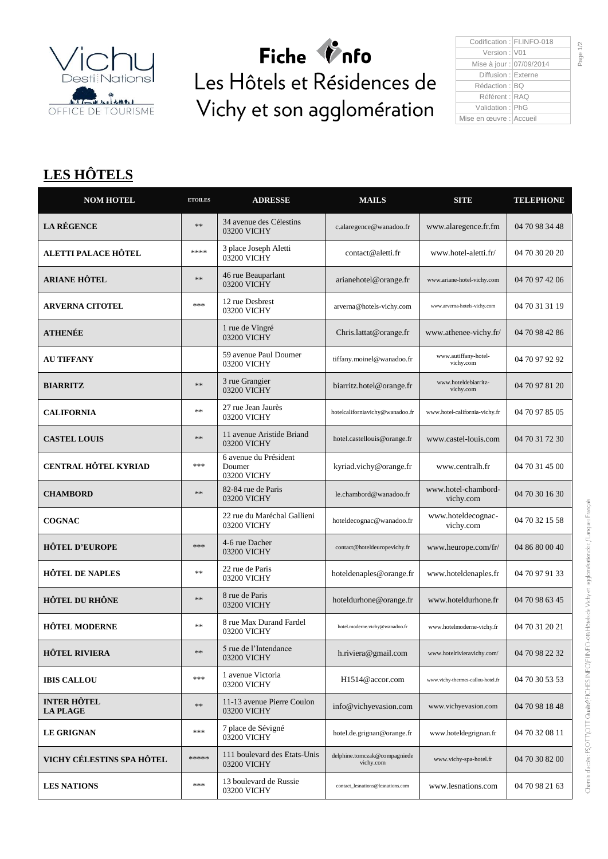

Fiche *V*nfo Les Hôtels et Résidences de Vichy et son agglomération

| Codification: FI.INFO-018 |  |
|---------------------------|--|
| Version: V01              |  |
| Mise à jour : 07/09/2014  |  |
| Diffusion : Externe       |  |
| Rédaction : IBO           |  |
| Référent : RAQ            |  |
| Validation: PhG           |  |
| Mise en œuvre : Accueil   |  |
|                           |  |

## **LES HÔTELS**

| <b>NOM HOTEL</b>                      | <b>ETOILES</b> | <b>ADRESSE</b>                                 | <b>MAILS</b>                              | <b>SITE</b>                       | <b>TELEPHONE</b> |
|---------------------------------------|----------------|------------------------------------------------|-------------------------------------------|-----------------------------------|------------------|
| <b>LA RÉGENCE</b>                     | **             | 34 avenue des Célestins<br>03200 VICHY         | c.alaregence@wanadoo.fr                   | www.alaregence.fr.fm              | 04 70 98 34 48   |
| ALETTI PALACE HÔTEL                   | ****           | 3 place Joseph Aletti<br>03200 VICHY           | contact@aletti.fr                         | www.hotel-aletti.fr/              | 04 70 30 20 20   |
| <b>ARIANE HÔTEL</b>                   | $**$           | 46 rue Beauparlant<br>03200 VICHY              | arianehotel@orange.fr                     | www.ariane-hotel-vichy.com        | 04 70 97 42 06   |
| <b>ARVERNA CITOTEL</b>                | $***$          | 12 rue Desbrest<br>03200 VICHY                 | arverna@hotels-vichy.com                  | www.arverna-hotels-vichy.com      | 04 70 31 31 19   |
| <b>ATHENÉE</b>                        |                | 1 rue de Vingré<br>03200 VICHY                 | Chris.lattat@orange.fr                    | www.athenee-vichy.fr/             | 04 70 98 42 86   |
| <b>AU TIFFANY</b>                     |                | 59 avenue Paul Doumer<br>03200 VICHY           | tiffany.moinel@wanadoo.fr                 | www.autiffany-hotel-<br>vichy.com | 04 70 97 92 92   |
| <b>BIARRITZ</b>                       | **             | 3 rue Grangier<br>03200 VICHY                  | biarritz.hotel@orange.fr                  | www.hoteldebiarritz-<br>vichy.com | 04 70 97 81 20   |
| <b>CALIFORNIA</b>                     | **             | 27 rue Jean Jaurès<br>03200 VICHY              | hotelcaliforniavichy@wanadoo.fr           | www.hotel-california-vichy.fr     | 04 70 97 85 05   |
| <b>CASTEL LOUIS</b>                   | $**$           | 11 avenue Aristide Briand<br>03200 VICHY       | hotel.castellouis@orange.fr               | www.castel-louis.com              | 04 70 31 72 30   |
| <b>CENTRAL HÔTEL KYRIAD</b>           | ***            | 6 avenue du Président<br>Doumer<br>03200 VICHY | kyriad.vichy@orange.fr                    | www.centralh.fr                   | 04 70 31 45 00   |
| <b>CHAMBORD</b>                       | $**$           | 82-84 rue de Paris<br>03200 VICHY              | le.chambord@wanadoo.fr                    | www.hotel-chambord-<br>vichy.com  | 04 70 30 16 30   |
| <b>COGNAC</b>                         |                | 22 rue du Maréchal Gallieni<br>03200 VICHY     | hoteldecognac@wanadoo.fr                  | www.hoteldecognac-<br>vichy.com   | 04 70 32 15 58   |
| <b>HÔTEL D'EUROPE</b>                 | ***            | 4-6 rue Dacher<br>03200 VICHY                  | contact@hoteldeuropevichy.fr              | www.heurope.com/fr/               | 04 86 80 00 40   |
| <b>HÔTEL DE NAPLES</b>                | $**$           | 22 rue de Paris<br>03200 VICHY                 | hoteldenaples@orange.fr                   | www.hoteldenaples.fr              | 04 70 97 91 33   |
| <b>HÔTEL DU RHÔNE</b>                 | **             | 8 rue de Paris<br>03200 VICHY                  | hoteldurhone@orange.fr                    | www.hoteldurhone.fr               | 04 70 98 63 45   |
| <b>HÔTEL MODERNE</b>                  | **             | 8 rue Max Durand Fardel<br>03200 VICHY         | hotel.moderne.vichy@wanadoo.fr            | www.hotelmoderne-vichy.fr         | 04 70 31 20 21   |
| <b>HÔTEL RIVIERA</b>                  | $**$           | 5 rue de l'Intendance<br>03200 VICHY           | h.riviera@gmail.com                       | www.hotelrivieravichy.com/        | 04 70 98 22 32   |
| <b>IBIS CALLOU</b>                    | ***            | 1 avenue Victoria<br>03200 VICHY               | H1514@accor.com                           | www.vichy-thermes-callou-hotel.fr | 04 70 30 53 53   |
| <b>INTER HÔTEL</b><br><b>LA PLAGE</b> | **             | 11-13 avenue Pierre Coulon<br>03200 VICHY      | info@vichyevasion.com                     | www.vichyevasion.com              | 04 70 98 18 48   |
| <b>LE GRIGNAN</b>                     | ***            | 7 place de Sévigné<br>03200 VICHY              | hotel.de.grignan@orange.fr                | www.hoteldegrignan.fr             | 04 70 32 08 11   |
| VICHY CÉLESTINS SPA HÔTEL             | *****          | 111 boulevard des Etats-Unis<br>03200 VICHY    | delphine.tomczak@compagniede<br>vichy.com | www.vichy-spa-hotel.fr            | 04 70 30 82 00   |
| <b>LES NATIONS</b>                    | $***$          | 13 boulevard de Russie<br>03200 VICHY          | contact_lesnations@lesnations.com         | www.lesnations.com                | 04 70 98 21 63   |